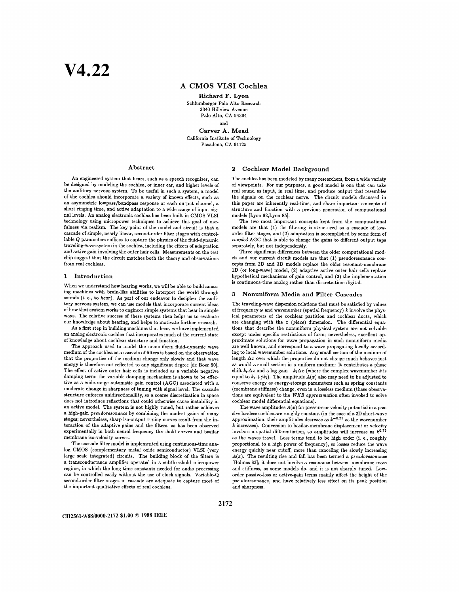# **V4.22**

## **A CMOS VLSI Cochlea**

**Richard F. Lyon**  Schlumberger Palo Alto Research **3340** Hillview Avenue Palo Alto, CA **94304**  and

**Carver A. Mead**  California Institute of Technology Pasadena, CA **91125** 

#### **Abstract**

An engineered system that hears, such **as** a speech recognizer, can be designed by modeling the cochlea, or inner ear, and higher levels of the auditory nervous system. To be useful in such a system, a model of the cochlea should incorporate a variety of known effects, such **as**  an asymmetric lowpass/bandpass response at each output channel, a short ringing time, and active adaptation to a wide range of input signal levels. An analog electronic cochlea has been built in CMOS VLSI technology using micropower techniques to achieve this goal of usefulness via realism. The key point of the model and circuit is that a cascade of simple, nearly linear, second-order filter stages with controllable Q parameters suffices to capture the physics of the fluid-dynamic traveling-wave system in the cochlea, including the effects of adaptation and active gain involving the outer hair cells. Measurements on the test chip suggest that the circuit matches both the theory and observations from real cochleas.

#### **1 Introduction**

When we understand how hearing works, we will be able to build amazing machines with brain-like abilities to interpret the world through sounds (i. e., to hear). As part of our endeavor to decipher the auditory nervous system, we can use models that incorporate current ideas of how that system works to engineer simple systems that hear in simple ways. The relative success of these systems then helps us to evaluate our knowledge about hearing, and helps to motivate further research.

As a first step in building machines that hear, we have implemented an analog electronic cochlea that incorporates much of the current state of knowledge about cochlear structure and function.

The approach used to model the nonuniform fluid-dynamic wave medium of the cochlea **as** a cascade of filters is based on the observation that the properties of the medium change only slowly and that wave energy is therefore not reflected to any significant degree [de Boer **SO].**  The effect of active outer hair cells is included **as** a variable negative damping term; the variable damping mechanism is shown to be effective **as** a wide-range automatic gain control (AGC) associated with a moderate change in sharpness of tuning with signal level. The cascade structure enforces unidirectionalilty, so a coarse discretization in space does not introduce reflections that could otherwise cause instability in an active model. The system is not highly tuned, but rather achieves a high-gain pseudoresonance by combining the modest gains of many stages; nevertheless, sharp iso-output twning curves result from the interaction of the adaptive gains and the filters, **as** has been observed experimentally in both neural frequency threshold curves and basilar membrane iso-velocity curves.

The cascade filter model is implemented using continuous-time analog CMOS (complementary metal oxide semiconductor) VLSI (very large scale integrated) circuits. The building block of the filters is a transconductance amplifier operated in a subthreshold micropower regime, in which the long time constants needed for audio processing can be controlled easily without the use of clock signals. Variable- $\bar{\mathbf{Q}}$ second-order filter stages in cascade are adequate to capture mast of the important qualitative effects of real cochleas.

#### **2 Cochlear Model Background**

The cochlea has been modeled by many researchers, from a wide variety of viewpoints. For our purposes, a good model is one that can take real sound **as** input, in real time, and produce output that resembles the signals on the cochlear nerve. The circuit models discussed in this paper are inherently real-time, and share important concepts of structure and function with a previous generation of computational models [Lyon 82,Lyon **851.** 

The two most important concepts kept from the computational models are that **(1)** the filtering is structured **as** a cascade of loworder filter stages, and (2) adaptation is accomplished by some form of coupled AGC that is able to change the gains to different output taps separately, but not independently.

Three significant differences between the older computational models and our current circuit models are that **(1)** pseudoresonance concepts from **2D** and **3D** models replace the older resonant-membrane **1D** (or long-wave) model, (2) adaptive active outer hair cells replace hypothetical mechanisms of gain control, and **(3)** the implementation is continuous-time analog rather than discrete-time digital.

#### **3 Nonuniform Media and Filter Cascades**

The traveling-wave dispersion relations that must be satisfied by values of frequency  $\omega$  and wavenumber (spatial frequency)  $k$  involve the physical parameters of the cochlear partition and cochlear ducts, which are changing with the *x* (place) dimension. The differential equations that describe the nonuniform physical system are not solvable except under specific restrictions of form; nevertheless, excellent ap proximate solutions for wave propagation in such nonuniform media are well known, and correspond to a wave propagating locally according to local wavenumber solutions. Any small section of the medium of length  $\Delta x$  over which the properties do not change much behaves just **as** would a small section in a uniform medium: It contributes a phase shift  $k_r\Delta x$  and a log gain  $-k_i\Delta x$  (where the complex wavenumber *k* is equal to  $k_r+jk_i$ ). The amplitude  $A(x)$  also may need to be adjusted to conserve energy **as** energy-storage parameters such **as** spring constants (membrane stiffness) change, even in a lossless medium (these observations are equivalent to the *WKB* approzimation often invoked to solve cochlear model differential equations).

The wave amplitudes  $A(x)$  for pressure or velocity potential in a passive lossless cochleaare roughly constant (in the case of a **2D** short-wave approximation, their amplitudes decrease as  $k^{-0.25}$  as the wavenumber *k* increases). Conversion to basilar-membrane displacement or velocity involves a spatial differentiation, so amplitudes will increase as  $k^{0.7}$ **as** the waves travel. Loss terms tend to be high order (i. e., roughly proportional to a high power of frequency), so losses reduce the wave energy quickly near cutoff, more than canceling the slowly increasing **A(z).** The resulting rise and fall has been termed a pseudoresonance [Holmes **831;** it does not involve a resonance between membrane mass and stiffness, **as** some models do, and it is not sharply tuned. Loworder passive-lass or active-gain terms mainly affect the height of the pseudoresonance, and have relatively less effect on its peak position and sharpness.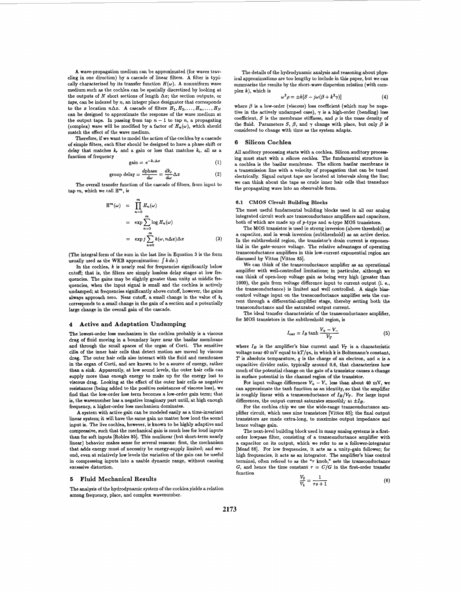A wave-propagation medium can be approximated (for waves traveling in one direction) by a cascade of linear filters. A filter is typically characterized by its transfer function  $H(\omega)$ . A nonuniform wave medium such **as** the cochlea can be spatially discretized by looking at the outputs of *N* short sections of length  $\Delta x$ ; the section outputs, or taps, can be indexed by *n,* an integer place designator that corresponds to the *x* location  $n\Delta x$ . A cascade of filters  $H_1, H_2, \ldots, H_n, \ldots, H_N$ can be designed to approximate the response of the wave medium at the output taps. In passing from tap  $n - 1$  to tap  $n$ , a propagating (complex) wave will be modified by a factor of  $H_n(\omega)$ , which should match the effect of the wave medium.

Therefore, if we want to model the action of the cochlea by a cascade of simple filters, each filter should be designed to have a phase shift or delay that matches *k,* and a gain or loss that matches *lei,* all **as** a function of frequency the wave medium.<br>
want to model the action of the c<br>
och filter should be designed to h<br>
s  $k_r$  and a gain or loss that m<br>
cy<br>
gain =  $e^{-k_1\Delta x}$ <br>
group delay =  $\frac{dphase}{d\omega} = \frac{dk_r}{d\omega} \Delta x$ <br>
sfer function of the cascade of

$$
gain = e^{-k_i \Delta x} \tag{1}
$$

$$
group delay = \frac{dphase}{d\omega} = \frac{dk_r}{d\omega} \Delta x \tag{2}
$$

The overall transfer function of the cascade of filters, from input to  $\tan m$ , which we call  $H^m$ , is

$$
H^{m}(\omega) = \prod_{n=0}^{m} H_{n}(\omega)
$$
  
=  $\exp \sum_{n=0}^{m} \log H_{n}(\omega)$   
=  $\exp j \sum_{n=0}^{m} k(\omega, n\Delta x) \Delta x$  (3)

(The integral form of the sum in the last line in Equation 3 is the form usually used **as** the WKB approximation: *k* dz.)

In the cochlea, *k* is nearly real for frequencies significantly below cutoff; that is, the filters are simply lossless delay stages at low frequencies. The gains may be slightly greater than unity at middle frequencies, when the input signal is small and the cochlea is actively undamped; at frequencies significantly above cutoff, however, the gains always approach zero. Near cutoff, a small change in the value of *ki*  corresponds to a small change in the gain of a section and a potentially large change in the overall gain of the cascade.

#### **4 Active and Adaptation Undamping**

The loweat-order loss mechanism in the cochlea probably is a viscous drag of fluid moving in a boundary layer near the basilar membrane and through the small spaces of the organ of Corti. The sensitive cilia of the inner hair cells that detect motion are moved by viscous drag. The outer hair cells also interact with the fluid and membranes in the organ of Corti, and are known to be a source of energy, rather than a sink. Apparently, at low sound levels, the outer hair cells can supply more than enough energy to make up for the energy lost to viscous drag. Looking at the effect of the outer hair cells **as** negative resistances (being added to the positive resistances of viscous loss), we find that the low-order loss term becomes a low-order gain term; that is, the wavenumber has a negative imaginary part until, at high enough frequency, a higher-order loss mechanism dominates.

A system with active gain can be modeled easily **as** a time-invariant linear system, it will have the same gain no matter how loud the sound input is. The live cochlea, however, is known to be highly adaptive and compressive, such that the mechanical gain is much less for loud inputs than for soft inputs [Robles **851.** This nonlinear (but short-term nearly linear) behavior makes sense for several reasons: first, the mechanism that adds energy must of necessity be energy-supply limited; and second, even at relatively low levels the variation of the gain can be useful in compressing inputs into a usable dynamic range, without causing excessive distortion.

#### **5 Fluid Mechanical Results**

The analysis of the hydrodynamic system of the cochlea yields a relation among frequency, place, and complex wavenumber.

The details of the hydrodynamic analysis and reasoning about physical approximations are too lengthy to include in this paper, but we can summarize the results by the short-wave dispersion relation (with complex *k),* which is

$$
\omega^2 \rho = \pm k[S - j\omega(\beta + k^2 \gamma)] \tag{4}
$$

where  $\beta$  is a low-order (viscous) loss coefficient (which may be negative in the actively undamped case),  $\gamma$  is a high-order (bending) loss coefficient,  $S$  is the membrane stiffness, and  $\rho$  is the mass density of the fluid. Parameters *S*,  $\beta$ , and  $\gamma$  change with place, but only  $\beta$  is considered to change with time **as** the system adapts.

#### **6 Silicon Cochlea**

All auditory processing starts with a cochlea. Silicon auditory processing must start with a silicon cochlea. The fundamental structure in a cochlea is the basilar membrane. The silicon basilar membrane is a transmission line with a velocity of propagation that can be tuned electrically. Signal output taps are located at intervals along the line; we can think about the taps **as** crude inner hair cells that transduce the propagating wave into an observable form.

### **6.1 CMOS Circuit** Building **Blocks**

The most useful fundamental building blocks used in all our analog integrated circuit work are transconductance ampliiers and capacitors, both of which are made up of p-type and n-type MOS transistors.

The MOS transistor is used in strong inversion (above threshold) **as**  a capacitor, and in weak inversion (subthreshold) **as** an active device. In the subthreshold region, the transistor's drain current is exponential in the gate-source voltage. The relative advantages of operating transconductance amplifiers in this low-current exponential region are discussed by Vittoz [Vittoz 85].

We can think of the transconductance amplifier **as** an operational amplifier with well-controlled limitations; in particular, although we can think of open-loop voltage gain **as** being very high (greater than **lOOO),** the gain from voltage difference input to current output (i. e., the transconductance) is limited and well controlled. A single biascontrol voltage input on the transconductance amplifier sets the current through a differential-amplifier stage, thereby setting both the transconductance and the saturated output current. oltage difference input to current<br>is limited and well controlled. A<br>the transconductance amplifier<br>thial-amplifier stage, thereby sett<br>the saturated output current.<br>haracteristic of the transconductan<br>the subthreshold re

The ideal transfer characteristic of the transconductance amplifier, for MOS transistors in the subthreshold region, is

$$
I_{\text{out}} = I_B \tanh \frac{V_+ - V_-}{V_T} \tag{5}
$$

where  $I_B$  is the amplifier's bias current amd  $V_T$  is a characteristic voltage near  $40$  mV equal to  $kT/q\kappa$ , in which k is Boltzmann's constant,  $T$  is absolute temparature,  $q$  is the charge of an electron, and  $\kappa$  is a capacitive divider ratio, typically around 0.6, that characterizes how much of the potential change on the gate of a transistor causes a change in surface potential in the channel region of the transistor.

For input voltage differences  $V_+ - V_-$  less than about 40 mV, we can approximate the tanh function **as** an identity, so that the amplifier is roughly linear with a transconductance of  $I_B/V_T$ . For large input differences, the output current saturates smoothly at  $\pm I_B$ .

For the cochlea chip we use the wide-range transconductance **am**plifier circuit, which uses nine transistors [Vittoz **851;** the final output transistors are made extra-long, to maximize output impedance and hence voltage gain.

The next-level building block used in many analog systems is a firstorder lowpass filter, consisting of a transconductance amplifier with a capacitor on its output, which we refer to **as** a follower-integrator [Mead 881. For low frequencies, it acts **as** a unity-gain follower; for high frequencies, it acts **as** an integrator. The amplifier's bias control terminal, often refered to **as** the *''7* knob," sets the transconductance G, and hence the time constant  $\tau = C/G$  in the first-order transfer function

$$
\frac{V_2}{V_1} = \frac{1}{\tau s + 1} \tag{6}
$$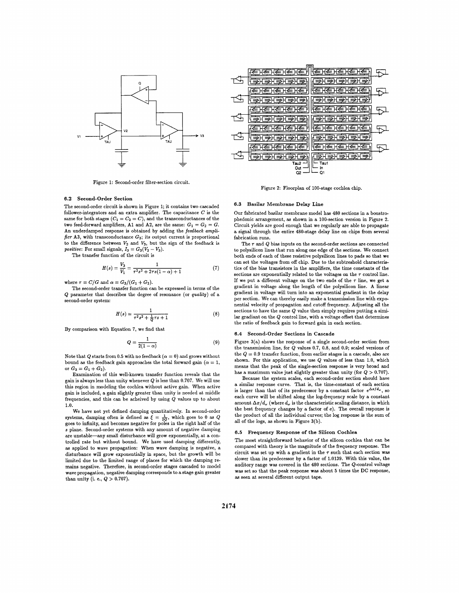

Figure 1: Second-order filter-section circuit.

#### **6.2** Second-Order Section

The second-order circuit is shown in Figure 1; it contains two cascaded follower-integrators and an extra amplifier. The capacitance *C* is the same for both stages  $(C_1 = C_2 = C)$ , and the transconductances of the two feed-forward amplifiers, A1 and A2, are the same:  $G_1 = G_2 = G$ . An underdamped response is obtained by adding the feedback amplifier A3, with transconductance  $G_3$ ; its output current is proportional to the difference between *Vz* and *Vs,* but the sign of the feedback is *positive:* For small signals,  $I_3 = G_3(V_2 - V_3)$ .

The transfer function of the circuit is

$$
H(s) = \frac{V_3}{V_1} = \frac{1}{\tau^2 s^2 + 2\tau s (1 - \alpha) + 1} \tag{7}
$$

where  $\tau = C/G$  and  $\alpha = G_3/(G_1 + G_2)$ .

The second-order transfer function can be expressed in terms of the Q parameter that describes the degree of resonance (or quality) of a second-order system:

$$
H(s) = \frac{1}{\tau^2 s^2 + \frac{1}{Q} \tau s + 1} \tag{8}
$$

By comparison with Equation **7,** we find that

$$
Q = \frac{1}{2(1-\alpha)}\tag{9}
$$

Note that Q starts from 0.5 with no feedback  $(\alpha = 0)$  and grows without bound as the feedback gain approaches the total forward gain  $(\alpha = 1,$ or  $G_3 = G_1 + G_2$ .

Examination of this well-known transfer function reveals that the gain is always less than unity whenever Q is less than **0.707.** We will use this region in modeling the cochlea without active gain. When active gain is included, a gain slightly greater than unity is needed at middle frequencies, and this can be acheived by using Q values up to about 1.0.

We have not yet defined damping quantitatively. In second-order systems, damping often is defined as  $\xi = \frac{1}{2Q}$ , which goes to 0 as  $Q$  goes to infinity, and becomes negative for poles in the right half of the  $s$  plane. Second-order systems with any amount of negative damping are unstable-any small disturbance will grow exponentially, at a controlled rate but without bound. We have used damping differently, **as** applied to wave propagation: When wave damping is negative, a disturbance will grow exponentially in space, but the growth will be limited due to the limited range of places for which the damping remains negative. Therefore, in second-order stages cascaded to model wave propagation, negative damping corresponds to a stage gain greater than unity (i. e.,  $Q > 0.707$ ).



Figure 2: Floorplan of 100-stage cochlea chip.

#### **6.3** Basilar Membrane Delay Line

Our fabricated basilar membrane model has 480 sections in a boustrophedonic arrangement, **as** shown in a 100-section version in Figure 2. Circuit yields are good enough that we regularly are able to propagate a signal through the entire 480-stage delay line on chips from several fabrication runs.

The *r* and Q bias inputs on the second-order sections *are* connected to polysilicon lines that run along one edge of the sections. We connect both ends of each of these resistive polysilicon lines to pads *so* that we can set the voltages from off chip. Due to the subtreshold characteristics of the bias transistors in the amplifiers, the time constants of the sections are exponentially related to the voltages on the *r* control line. If we put a different voltage on the two ends of the  $\tau$  line, we get a gradient in voltage along the length of the polysilicon lie. A linear gradient in voltage will turn into an exponential gradient in the delay per section. We can thereby easily make a transmission line with exponential velocity of propagation and cutoff frequency. Adjusting all the sections to have the same  $Q$  value then simply requires putting a simi**lar** gradiant on the Q control lie, with a voltage offset that determines the ratio of feedback gain to forward gain in each section.

## **6.4** Second-Order Sections in Cascade

Figure 3(a) shows the response of a single second-order section from the transmission line, for Q values **0.7,** 0.8, and 0.9; scaled versions of the  $Q = 0.9$  transfer function, from earlier stages in a cascade, also are shown. For this application, we use Q values **of** less than 1.0, which means that the peak of the single-section response is very broad and has a maximum value just slightly greater than unity (for  $Q > 0.707$ ).

Because the system scales, each second-order section should have a similar response curve. That is, the time-constant of each section is larger than that of its predecessor by a constant factor  $e^{\Delta x/d_{\omega}}$ , so each curve will be shifted along the log-frequency scale by a constant amount  $\Delta x/d_{\omega}$  (where  $d_{\omega}$  is the characteristic scaling distance, in which the best frequency changes by a factor of **e).** The overall response is the product of all the individual curves; the log response **is** the sum of all of the logs, **as** shown in Figure 3(b).

#### *6.5*  Frequency Response **of** the Silicon Cochlea

The most straightforward behavior of the silicon cochlea that can be compared with theory is the magnitude of the frequency response. The circuit was set up with a gradient in the *r* such that each section was slower than its predecessor by a factor of 1.0139. With this value, the auditory range was covered in the 480 sections. The Q-control voltage was set so that the peak response was about **5** times the DC response, **as** seen at several different output taps.